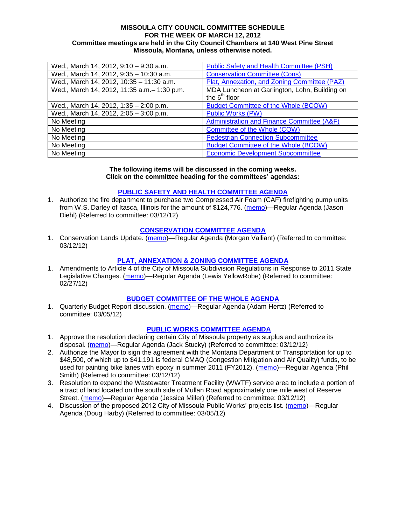#### **MISSOULA CITY COUNCIL COMMITTEE SCHEDULE FOR THE WEEK OF MARCH 12, 2012 Committee meetings are held in the City Council Chambers at 140 West Pine Street Missoula, Montana, unless otherwise noted.**

| Wed., March 14, 2012, 9:10 - 9:30 a.m.       | <b>Public Safety and Health Committee (PSH)</b> |
|----------------------------------------------|-------------------------------------------------|
| Wed., March 14, 2012, 9:35 - 10:30 a.m.      | <b>Conservation Committee (Cons)</b>            |
| Wed., March 14, 2012, 10:35 - 11:30 a.m.     | Plat, Annexation, and Zoning Committee (PAZ)    |
| Wed., March 14, 2012, 11:35 a.m. - 1:30 p.m. | MDA Luncheon at Garlington, Lohn, Building on   |
|                                              | the $6th$ floor                                 |
| Wed., March 14, 2012, 1:35 - 2:00 p.m.       | <b>Budget Committee of the Whole (BCOW)</b>     |
| Wed., March 14, 2012, 2:05 - 3:00 p.m.       | <b>Public Works (PW)</b>                        |
| No Meeting                                   | Administration and Finance Committee (A&F)      |
| No Meeting                                   | Committee of the Whole (COW)                    |
| No Meeting                                   | <b>Pedestrian Connection Subcommittee</b>       |
| No Meeting                                   | <b>Budget Committee of the Whole (BCOW)</b>     |
| No Meeting                                   | <b>Economic Development Subcommittee</b>        |

#### **The following items will be discussed in the coming weeks. Click on the committee heading for the committees' agendas:**

### **[PUBLIC SAFETY AND HEALTH COMMITTEE](http://www.ci.missoula.mt.us/DocumentCenterii.aspx?FID=836) AGENDA**

1. Authorize the fire department to purchase two Compressed Air Foam (CAF) firefighting pump units from W.S. Darley of Itasca, Illinois for the amount of \$124,776. [\(memo\)](http://www.ci.missoula.mt.us/DocumentView.aspx?DID=8428)—Regular Agenda (Jason Diehl) (Referred to committee: 03/12/12)

### **[CONSERVATION COMMITTEE](http://www.ci.missoula.mt.us/DocumentCenterii.aspx?FID=832) AGENDA**

1. Conservation Lands Update. [\(memo\)](http://www.ci.missoula.mt.us/DocumentView.aspx?DID=8425)—Regular Agenda (Morgan Valliant) (Referred to committee: 03/12/12)

## **[PLAT, ANNEXATION & ZONING COMMITTEE](http://www.ci.missoula.mt.us/DocumentCenterii.aspx?FID=831) AGENDA**

1. Amendments to Article 4 of the City of Missoula Subdivision Regulations in Response to 2011 State Legislative Changes. [\(memo\)](http://www.ci.missoula.mt.us/DocumentView.aspx?DID=8342)—Regular Agenda (Lewis YellowRobe) (Referred to committee: 02/27/12)

#### **[BUDGET COMMITTEE OF THE WHOLE AGENDA](http://www.ci.missoula.mt.us/DocumentCenterii.aspx?FID=835)**

1. Quarterly Budget Report discussion. [\(memo\)](http://www.ci.missoula.mt.us/DocumentView.aspx?DID=8374)—Regular Agenda (Adam Hertz) (Referred to committee: 03/05/12)

## **[PUBLIC WORKS COMMITTEE AGENDA](http://www.ci.missoula.mt.us/DocumentCenterii.aspx?FID=833)**

- 1. Approve the resolution declaring certain City of Missoula property as surplus and authorize its disposal. [\(memo\)](http://www.ci.missoula.mt.us/DocumentView.aspx?DID=8416)—Regular Agenda (Jack Stucky) (Referred to committee: 03/12/12)
- 2. Authorize the Mayor to sign the agreement with the Montana Department of Transportation for up to \$48,500, of which up to \$41,191 is federal CMAQ (Congestion Mitigation and Air Quality) funds, to be used for painting bike lanes with epoxy in summer 2011 (FY2012). [\(memo\)](http://www.ci.missoula.mt.us/DocumentView.aspx?DID=8415)—Regular Agenda (Phil Smith) (Referred to committee: 03/12/12)
- 3. Resolution to expand the Wastewater Treatment Facility (WWTF) service area to include a portion of a tract of land located on the south side of Mullan Road approximately one mile west of Reserve Street. [\(memo\)](http://www.ci.missoula.mt.us/DocumentView.aspx?DID=8417)—Regular Agenda (Jessica Miller) (Referred to committee: 03/12/12)
- 4. Discussion of the proposed 2012 City of Missoula Public Works' projects list. [\(memo\)](http://www.ci.missoula.mt.us/DocumentView.aspx?DID=8379)—Regular Agenda (Doug Harby) (Referred to committee: 03/05/12)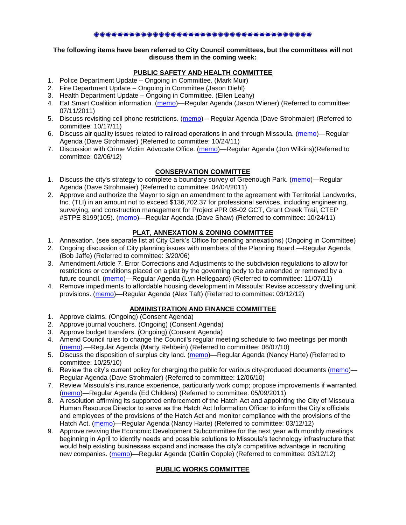### \*\*\*\*\*\*\*\*\*\*\*\*\*\*\*\*\*\*\*\*\*\*\*\*\*\*\*\*

#### **The following items have been referred to City Council committees, but the committees will not discuss them in the coming week:**

# **PUBLIC SAFETY AND HEALTH COMMITTEE**

- 1. Police Department Update Ongoing in Committee. (Mark Muir)
- 2. Fire Department Update Ongoing in Committee (Jason Diehl)
- 3. Health Department Update Ongoing in Committee. (Ellen Leahy)
- 4. Eat Smart Coalition information. [\(memo\)](http://www.ci.missoula.mt.us/DocumentView.aspx?DID=6776)—Regular Agenda (Jason Wiener) (Referred to committee: 07/11/2011)
- 5. Discuss revisiting cell phone restrictions. [\(memo\)](http://www.ci.missoula.mt.us/DocumentView.aspx?DID=7420) Regular Agenda (Dave Strohmaier) (Referred to committee: 10/17/11)
- 6. Discuss air quality issues related to railroad operations in and through Missoula. [\(memo\)](http://www.ci.missoula.mt.us/DocumentView.aspx?DID=7495)—Regular Agenda (Dave Strohmaier) (Referred to committee: 10/24/11)
- 7. Discussion with Crime Victim Advocate Office. [\(memo\)](http://www.ci.missoula.mt.us/DocumentView.aspx?DID=8109)—Regular Agenda (Jon Wilkins)(Referred to committee: 02/06/12)

## **CONSERVATION COMMITTEE**

- 1. Discuss the city's strategy to complete a boundary survey of Greenough Park. [\(memo\)](http://www.ci.missoula.mt.us/DocumentView.aspx?DID=5875)—Regular Agenda (Dave Strohmaier) (Referred to committee: 04/04/2011)
- 2. Approve and authorize the Mayor to sign an amendment to the agreement with Territorial Landworks, Inc. (TLI) in an amount not to exceed \$136,702.37 for professional services, including engineering, surveying, and construction management for Project #PR 08-02 GCT, Grant Creek Trail, CTEP #STPE 8199(105). [\(memo\)](http://www.ci.missoula.mt.us/DocumentView.aspx?DID=7494)—Regular Agenda (Dave Shaw) (Referred to committee: 10/24/11)

# **PLAT, ANNEXATION & ZONING COMMITTEE**

- 1. Annexation. (see separate list at City Clerk's Office for pending annexations) (Ongoing in Committee)
- 2. Ongoing discussion of City planning issues with members of the Planning Board.—Regular Agenda (Bob Jaffe) (Referred to committee: 3/20/06)
- 3. Amendment Article 7. Error Corrections and Adjustments to the subdivision regulations to allow for restrictions or conditions placed on a plat by the governing body to be amended or removed by a future council. [\(memo\)](http://www.ci.missoula.mt.us/DocumentView.aspx?DID=7568)—Regular Agenda (Lyn Hellegaard) (Referred to committee: 11/07/11)
- 4. Remove impediments to affordable housing development in Missoula: Revise accessory dwelling unit provisions. [\(memo\)](http://www.ci.missoula.mt.us/DocumentView.aspx?DID=8421)—Regular Agenda (Alex Taft) (Referred to committee: 03/12/12)

## **ADMINISTRATION AND FINANCE COMMITTEE**

- 1. Approve claims. (Ongoing) (Consent Agenda)
- 2. Approve journal vouchers. (Ongoing) (Consent Agenda)
- 3. Approve budget transfers. (Ongoing) (Consent Agenda)
- 4. Amend Council rules to change the Council's regular meeting schedule to two meetings per month [\(memo\)](http://www.ci.missoula.mt.us/DocumentView.aspx?DID=4027).—Regular Agenda (Marty Rehbein) (Referred to committee: 06/07/10)
- 5. Discuss the disposition of surplus city land. [\(memo\)](http://www.ci.missoula.mt.us/DocumentView.aspx?DID=4862)—Regular Agenda (Nancy Harte) (Referred to committee: 10/25/10)
- 6. Review the city's current policy for charging the public for various city-produced documents [\(memo\)](http://www.ci.missoula.mt.us/DocumentView.aspx?DID=5143) Regular Agenda (Dave Strohmaier) (Referred to committee: 12/06/10)
- 7. Review Missoula's insurance experience, particularly work comp; propose improvements if warranted. [\(memo\)](http://www.ci.missoula.mt.us/DocumentView.aspx?DID=6381)—Regular Agenda (Ed Childers) (Referred to committee: 05/09/2011)
- 8. A resolution affirming its supported enforcement of the Hatch Act and appointing the City of Missoula Human Resource Director to serve as the Hatch Act Information Officer to inform the City's officials and employees of the provisions of the Hatch Act and monitor compliance with the provisions of the Hatch Act. [\(memo\)](http://www.ci.missoula.mt.us/DocumentView.aspx?DID=8424)—Regular Agenda (Nancy Harte) (Referred to committee: 03/12/12)
- 9. Approve reviving the Economic Development Subcommittee for the next year with monthly meetings beginning in April to identify needs and possible solutions to Missoula's technology infrastructure that would help existing businesses expand and increase the city's competitive advantage in recruiting new companies. [\(memo\)](http://www.ci.missoula.mt.us/DocumentView.aspx?DID=8435)—Regular Agenda (Caitlin Copple) (Referred to committee: 03/12/12)

## **PUBLIC WORKS COMMITTEE**